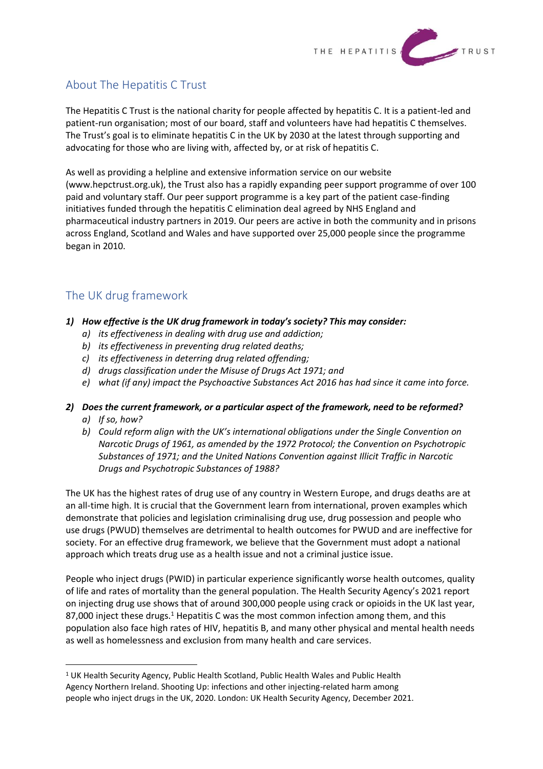

# About The Hepatitis C Trust

The Hepatitis C Trust is the national charity for people affected by hepatitis C. It is a patient-led and patient-run organisation; most of our board, staff and volunteers have had hepatitis C themselves. The Trust's goal is to eliminate hepatitis C in the UK by 2030 at the latest through supporting and advocating for those who are living with, affected by, or at risk of hepatitis C.

As well as providing a helpline and extensive information service on our website (www.hepctrust.org.uk), the Trust also has a rapidly expanding peer support programme of over 100 paid and voluntary staff. Our peer support programme is a key part of the patient case-finding initiatives funded through the hepatitis C elimination deal agreed by NHS England and pharmaceutical industry partners in 2019. Our peers are active in both the community and in prisons across England, Scotland and Wales and have supported over 25,000 people since the programme began in 2010.

# The UK drug framework

- *1) How effective is the UK drug framework in today's society? This may consider:*
	- *a) its effectiveness in dealing with drug use and addiction;*
	- *b) its effectiveness in preventing drug related deaths;*
	- *c) its effectiveness in deterring drug related offending;*
	- *d) drugs classification under the Misuse of Drugs Act 1971; and*
	- *e) what (if any) impact the Psychoactive Substances Act 2016 has had since it came into force.*

#### *2) Does the current framework, or a particular aspect of the framework, need to be reformed? a) If so, how?*

*b) Could reform align with the UK's international obligations under the Single Convention on Narcotic Drugs of 1961, as amended by the 1972 Protocol; the Convention on Psychotropic Substances of 1971; and the United Nations Convention against Illicit Traffic in Narcotic Drugs and Psychotropic Substances of 1988?*

The UK has the highest rates of drug use of any country in Western Europe, and drugs deaths are at an all-time high. It is crucial that the Government learn from international, proven examples which demonstrate that policies and legislation criminalising drug use, drug possession and people who use drugs (PWUD) themselves are detrimental to health outcomes for PWUD and are ineffective for society. For an effective drug framework, we believe that the Government must adopt a national approach which treats drug use as a health issue and not a criminal justice issue.

People who inject drugs (PWID) in particular experience significantly worse health outcomes, quality of life and rates of mortality than the general population. The Health Security Agency's 2021 report on injecting drug use shows that of around 300,000 people using crack or opioids in the UK last year, 87,000 inject these drugs.<sup>1</sup> Hepatitis C was the most common infection among them, and this population also face high rates of HIV, hepatitis B, and many other physical and mental health needs as well as homelessness and exclusion from many health and care services.

<sup>1</sup> UK Health Security Agency, Public Health Scotland, Public Health Wales and Public Health Agency Northern Ireland. Shooting Up: infections and other injecting-related harm among people who inject drugs in the UK, 2020. London: UK Health Security Agency, December 2021.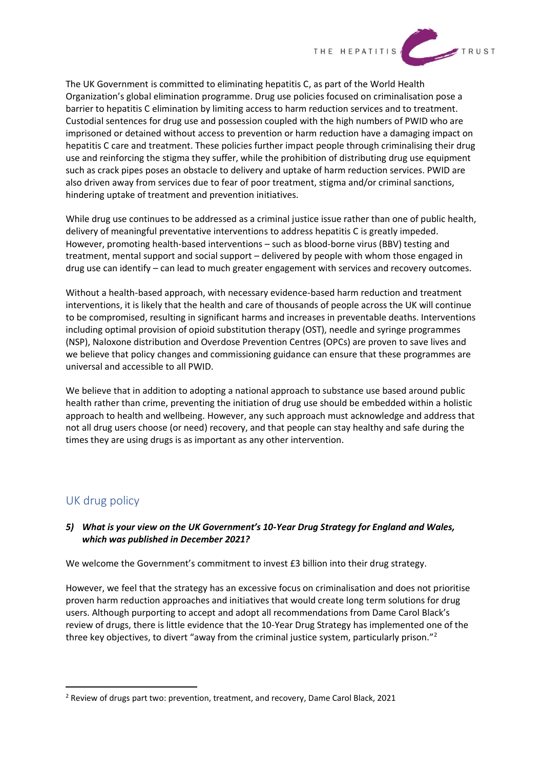

The UK Government is committed to eliminating hepatitis C, as part of the World Health Organization's global elimination programme. Drug use policies focused on criminalisation pose a barrier to hepatitis C elimination by limiting access to harm reduction services and to treatment. Custodial sentences for drug use and possession coupled with the high numbers of PWID who are imprisoned or detained without access to prevention or harm reduction have a damaging impact on hepatitis C care and treatment. These policies further impact people through criminalising their drug use and reinforcing the stigma they suffer, while the prohibition of distributing drug use equipment such as crack pipes poses an obstacle to delivery and uptake of harm reduction services. PWID are also driven away from services due to fear of poor treatment, stigma and/or criminal sanctions, hindering uptake of treatment and prevention initiatives.

While drug use continues to be addressed as a criminal justice issue rather than one of public health, delivery of meaningful preventative interventions to address hepatitis C is greatly impeded. However, promoting health-based interventions – such as blood-borne virus (BBV) testing and treatment, mental support and social support – delivered by people with whom those engaged in drug use can identify – can lead to much greater engagement with services and recovery outcomes.

Without a health-based approach, with necessary evidence-based harm reduction and treatment interventions, it is likely that the health and care of thousands of people across the UK will continue to be compromised, resulting in significant harms and increases in preventable deaths. Interventions including optimal provision of opioid substitution therapy (OST), needle and syringe programmes (NSP), Naloxone distribution and Overdose Prevention Centres (OPCs) are proven to save lives and we believe that policy changes and commissioning guidance can ensure that these programmes are universal and accessible to all PWID.

We believe that in addition to adopting a national approach to substance use based around public health rather than crime, preventing the initiation of drug use should be embedded within a holistic approach to health and wellbeing. However, any such approach must acknowledge and address that not all drug users choose (or need) recovery, and that people can stay healthy and safe during the times they are using drugs is as important as any other intervention.

## UK drug policy

## *5) What is your view on the UK Government's 10-Year Drug Strategy for England and Wales, which was published in December 2021?*

We welcome the Government's commitment to invest £3 billion into their drug strategy.

However, we feel that the strategy has an excessive focus on criminalisation and does not prioritise proven harm reduction approaches and initiatives that would create long term solutions for drug users. Although purporting to accept and adopt all recommendations from Dame Carol Black's review of drugs, there is little evidence that the 10-Year Drug Strategy has implemented one of the three key objectives, to divert "away from the criminal justice system, particularly prison."<sup>2</sup>

<sup>2</sup> Review of drugs part two: prevention, treatment, and recovery, Dame Carol Black, 2021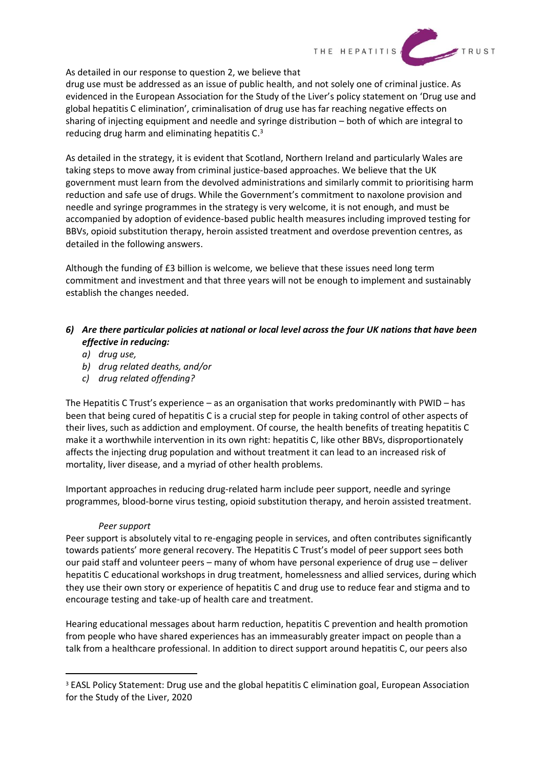

As detailed in our response to question 2, we believe that

drug use must be addressed as an issue of public health, and not solely one of criminal justice. As evidenced in the European Association for the Study of the Liver's policy statement on 'Drug use and global hepatitis C elimination', criminalisation of drug use has far reaching negative effects on sharing of injecting equipment and needle and syringe distribution – both of which are integral to reducing drug harm and eliminating hepatitis C.<sup>3</sup>

As detailed in the strategy, it is evident that Scotland, Northern Ireland and particularly Wales are taking steps to move away from criminal justice-based approaches. We believe that the UK government must learn from the devolved administrations and similarly commit to prioritising harm reduction and safe use of drugs. While the Government's commitment to naxolone provision and needle and syringe programmes in the strategy is very welcome, it is not enough, and must be accompanied by adoption of evidence-based public health measures including improved testing for BBVs, opioid substitution therapy, heroin assisted treatment and overdose prevention centres, as detailed in the following answers.

Although the funding of £3 billion is welcome, we believe that these issues need long term commitment and investment and that three years will not be enough to implement and sustainably establish the changes needed.

## *6) Are there particular policies at national or local level across the four UK nations that have been effective in reducing:*

- *a) drug use,*
- *b) drug related deaths, and/or*
- *c) drug related offending?*

The Hepatitis C Trust's experience – as an organisation that works predominantly with PWID – has been that being cured of hepatitis C is a crucial step for people in taking control of other aspects of their lives, such as addiction and employment. Of course, the health benefits of treating hepatitis C make it a worthwhile intervention in its own right: hepatitis C, like other BBVs, disproportionately affects the injecting drug population and without treatment it can lead to an increased risk of mortality, liver disease, and a myriad of other health problems.

Important approaches in reducing drug-related harm include peer support, needle and syringe programmes, blood-borne virus testing, opioid substitution therapy, and heroin assisted treatment.

#### *Peer support*

Peer support is absolutely vital to re-engaging people in services, and often contributes significantly towards patients' more general recovery. The Hepatitis C Trust's model of peer support sees both our paid staff and volunteer peers – many of whom have personal experience of drug use – deliver hepatitis C educational workshops in drug treatment, homelessness and allied services, during which they use their own story or experience of hepatitis C and drug use to reduce fear and stigma and to encourage testing and take-up of health care and treatment.

Hearing educational messages about harm reduction, hepatitis C prevention and health promotion from people who have shared experiences has an immeasurably greater impact on people than a talk from a healthcare professional. In addition to direct support around hepatitis C, our peers also

<sup>&</sup>lt;sup>3</sup> EASL Policy Statement: Drug use and the global hepatitis C elimination goal, European Association for the Study of the Liver, 2020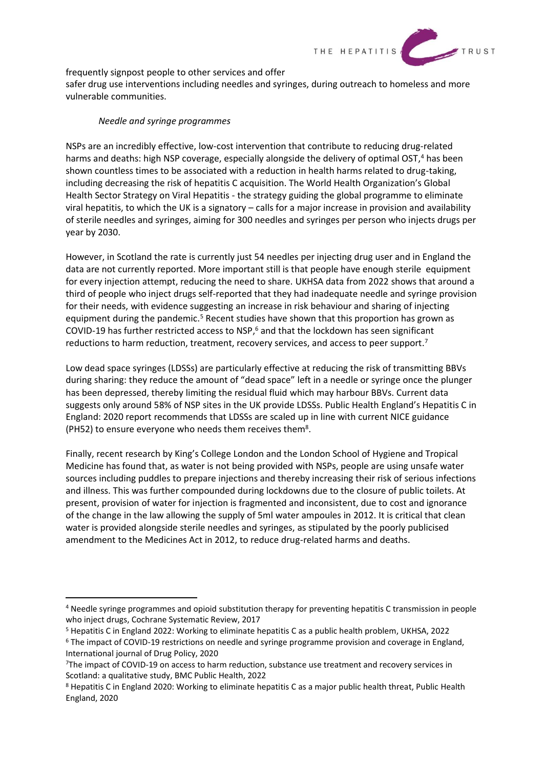

frequently signpost people to other services and offer

safer drug use interventions including needles and syringes, during outreach to homeless and more vulnerable communities.

#### *Needle and syringe programmes*

NSPs are an incredibly effective, low-cost intervention that contribute to reducing drug-related harms and deaths: high NSP coverage, especially alongside the delivery of optimal OST, <sup>4</sup> has been shown countless times to be associated with a reduction in health harms related to drug-taking, including decreasing the risk of hepatitis C acquisition. The World Health Organization's Global Health Sector Strategy on Viral Hepatitis - the strategy guiding the global programme to eliminate viral hepatitis, to which the UK is a signatory – calls for a major increase in provision and availability of sterile needles and syringes, aiming for 300 needles and syringes per person who injects drugs per year by 2030.

However, in Scotland the rate is currently just 54 needles per injecting drug user and in England the data are not currently reported. More important still is that people have enough sterile equipment for every injection attempt, reducing the need to share. UKHSA data from 2022 shows that around a third of people who inject drugs self-reported that they had inadequate needle and syringe provision for their needs, with evidence suggesting an increase in risk behaviour and sharing of injecting equipment during the pandemic.<sup>5</sup> Recent studies have shown that this proportion has grown as COVID-19 has further restricted access to NSP, <sup>6</sup> and that the lockdown has seen significant reductions to harm reduction, treatment, recovery services, and access to peer support.<sup>7</sup>

Low dead space syringes (LDSSs) are particularly effective at reducing the risk of transmitting BBVs during sharing: they reduce the amount of "dead space" left in a needle or syringe once the plunger has been depressed, thereby limiting the residual fluid which may harbour BBVs. Current data suggests only around 58% of NSP sites in the UK provide LDSSs. Public Health England's Hepatitis C in England: 2020 report recommends that LDSSs are scaled up in line with current NICE guidance (PH52) to ensure everyone who needs them receives them<sup>8</sup>.

Finally, recent research by King's College London and the London School of Hygiene and Tropical Medicine has found that, as water is not being provided with NSPs, people are using unsafe water sources including puddles to prepare injections and thereby increasing their risk of serious infections and illness. This was further compounded during lockdowns due to the closure of public toilets. At present, provision of water for injection is fragmented and inconsistent, due to cost and ignorance of the change in the law allowing the supply of 5ml water ampoules in 2012. It is critical that clean water is provided alongside sterile needles and syringes, as stipulated by the poorly publicised amendment to the Medicines Act in 2012, to reduce drug-related harms and deaths.

<sup>4</sup> Needle syringe programmes and opioid substitution therapy for preventing hepatitis C transmission in people who inject drugs, Cochrane Systematic Review, 2017

<sup>5</sup> Hepatitis C in England 2022: Working to eliminate hepatitis C as a public health problem, UKHSA, 2022

<sup>6</sup> The impact of COVID-19 restrictions on needle and syringe programme provision and coverage in England, International journal of Drug Policy, 2020

<sup>7</sup>The impact of COVID-19 on access to harm reduction, substance use treatment and recovery services in Scotland: a qualitative study, BMC Public Health, 2022

<sup>8</sup> Hepatitis C in England 2020: Working to eliminate hepatitis C as a major public health threat, Public Health England, 2020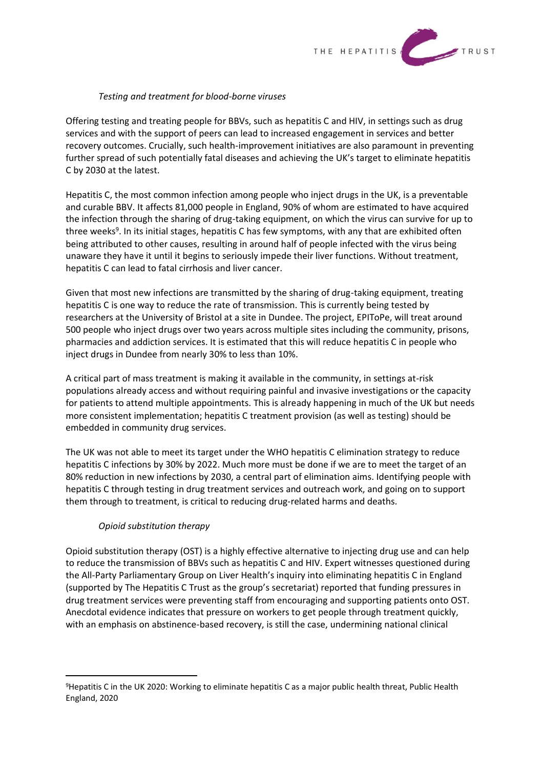

#### *Testing and treatment for blood-borne viruses*

Offering testing and treating people for BBVs, such as hepatitis C and HIV, in settings such as drug services and with the support of peers can lead to increased engagement in services and better recovery outcomes. Crucially, such health-improvement initiatives are also paramount in preventing further spread of such potentially fatal diseases and achieving the UK's target to eliminate hepatitis C by 2030 at the latest.

Hepatitis C, the most common infection among people who inject drugs in the UK, is a preventable and curable BBV. It affects 81,000 people in England, 90% of whom are estimated to have acquired the infection through the sharing of drug-taking equipment, on which the virus can survive for up to three weeks<sup>9</sup>. In its initial stages, hepatitis C has few symptoms, with any that are exhibited often being attributed to other causes, resulting in around half of people infected with the virus being unaware they have it until it begins to seriously impede their liver functions. Without treatment, hepatitis C can lead to fatal cirrhosis and liver cancer.

Given that most new infections are transmitted by the sharing of drug-taking equipment, treating hepatitis C is one way to reduce the rate of transmission. This is currently being tested by researchers at the University of Bristol at a site in Dundee. The project, EPIToPe, will treat around 500 people who inject drugs over two years across multiple sites including the community, prisons, pharmacies and addiction services. It is estimated that this will reduce hepatitis C in people who inject drugs in Dundee from nearly 30% to less than 10%.

A critical part of mass treatment is making it available in the community, in settings at-risk populations already access and without requiring painful and invasive investigations or the capacity for patients to attend multiple appointments. This is already happening in much of the UK but needs more consistent implementation; hepatitis C treatment provision (as well as testing) should be embedded in community drug services.

The UK was not able to meet its target under the WHO hepatitis C elimination strategy to reduce hepatitis C infections by 30% by 2022. Much more must be done if we are to meet the target of an 80% reduction in new infections by 2030, a central part of elimination aims. Identifying people with hepatitis C through testing in drug treatment services and outreach work, and going on to support them through to treatment, is critical to reducing drug-related harms and deaths.

## *Opioid substitution therapy*

Opioid substitution therapy (OST) is a highly effective alternative to injecting drug use and can help to reduce the transmission of BBVs such as hepatitis C and HIV. Expert witnesses questioned during the All-Party Parliamentary Group on Liver Health's inquiry into eliminating hepatitis C in England (supported by The Hepatitis C Trust as the group's secretariat) reported that funding pressures in drug treatment services were preventing staff from encouraging and supporting patients onto OST. Anecdotal evidence indicates that pressure on workers to get people through treatment quickly, with an emphasis on abstinence-based recovery, is still the case, undermining national clinical

<sup>9</sup>Hepatitis C in the UK 2020: Working to eliminate hepatitis C as a major public health threat, Public Health England, 2020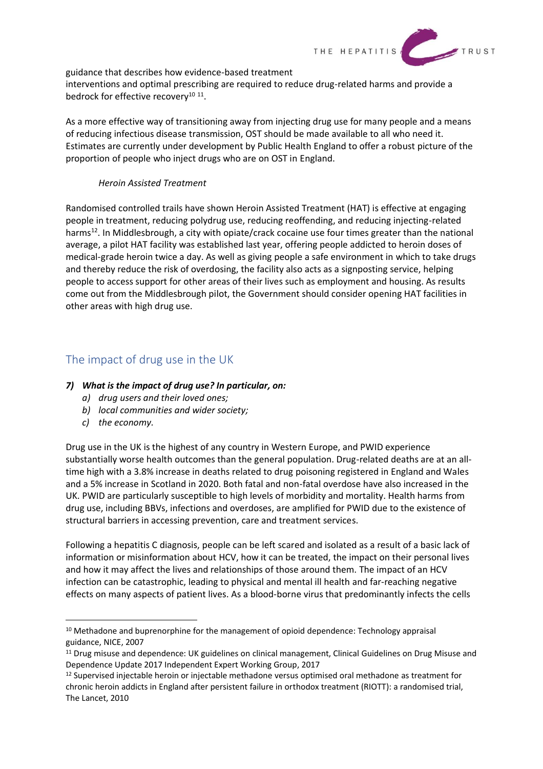

guidance that describes how evidence-based treatment

interventions and optimal prescribing are required to reduce drug-related harms and provide a bedrock for effective recovery<sup>10 11</sup>.

As a more effective way of transitioning away from injecting drug use for many people and a means of reducing infectious disease transmission, OST should be made available to all who need it. Estimates are currently under development by Public Health England to offer a robust picture of the proportion of people who inject drugs who are on OST in England.

### *Heroin Assisted Treatment*

Randomised controlled trails have shown Heroin Assisted Treatment (HAT) is effective at engaging people in treatment, reducing polydrug use, reducing reoffending, and reducing injecting-related harms<sup>12</sup>. In Middlesbrough, a city with opiate/crack cocaine use four times greater than the national average, a pilot HAT facility was established last year, offering people addicted to heroin doses of medical-grade heroin twice a day. As well as giving people a safe environment in which to take drugs and thereby reduce the risk of overdosing, the facility also acts as a signposting service, helping people to access support for other areas of their lives such as employment and housing. As results come out from the Middlesbrough pilot, the Government should consider opening HAT facilities in other areas with high drug use.

## The impact of drug use in the UK

## *7) What is the impact of drug use? In particular, on:*

- *a) drug users and their loved ones;*
- *b) local communities and wider society;*
- *c) the economy.*

Drug use in the UK is the highest of any country in Western Europe, and PWID experience substantially worse health outcomes than the general population. Drug-related deaths are at an alltime high with a 3.8% increase in deaths related to drug poisoning registered in England and Wales and a 5% increase in Scotland in 2020. Both fatal and non-fatal overdose have also increased in the UK. PWID are particularly susceptible to high levels of morbidity and mortality. Health harms from drug use, including BBVs, infections and overdoses, are amplified for PWID due to the existence of structural barriers in accessing prevention, care and treatment services.

Following a hepatitis C diagnosis, people can be left scared and isolated as a result of a basic lack of information or misinformation about HCV, how it can be treated, the impact on their personal lives and how it may affect the lives and relationships of those around them. The impact of an HCV infection can be catastrophic, leading to physical and mental ill health and far-reaching negative effects on many aspects of patient lives. As a blood-borne virus that predominantly infects the cells

 $10$  Methadone and buprenorphine for the management of opioid dependence: Technology appraisal guidance, NICE, 2007

<sup>&</sup>lt;sup>11</sup> Drug misuse and dependence: UK guidelines on clinical management, Clinical Guidelines on Drug Misuse and Dependence Update 2017 Independent Expert Working Group, 2017

<sup>&</sup>lt;sup>12</sup> Supervised injectable heroin or injectable methadone versus optimised oral methadone as treatment for chronic heroin addicts in England after persistent failure in orthodox treatment (RIOTT): a randomised trial, The Lancet, 2010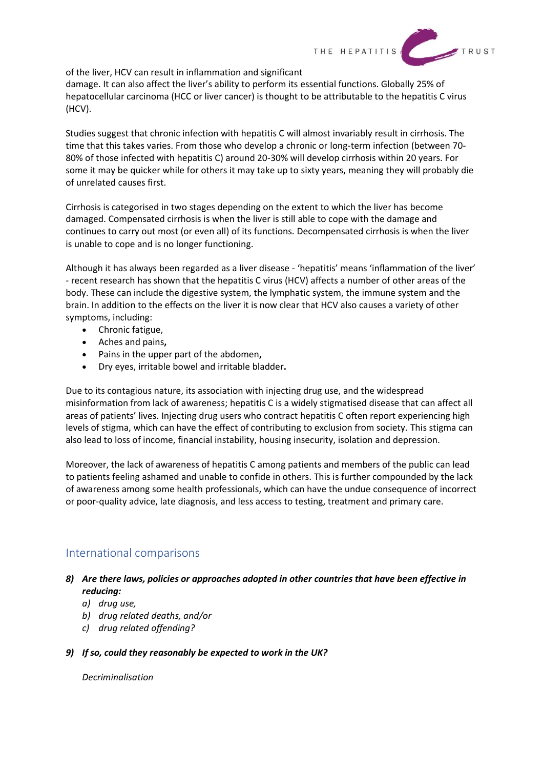

of the liver, HCV can result in inflammation and significant

damage. It can also affect the liver's ability to perform its essential functions. Globally 25% of hepatocellular carcinoma (HCC or liver cancer) is thought to be attributable to the hepatitis C virus (HCV).

Studies suggest that chronic infection with hepatitis C will almost invariably result in cirrhosis. The time that this takes varies. From those who develop a chronic or long-term infection (between 70- 80% of those infected with hepatitis C) around 20-30% will develop cirrhosis within 20 years. For some it may be quicker while for others it may take up to sixty years, meaning they will probably die of unrelated causes first.

Cirrhosis is categorised in two stages depending on the extent to which the liver has become damaged. Compensated cirrhosis is when the liver is still able to cope with the damage and continues to carry out most (or even all) of its functions. Decompensated cirrhosis is when the liver is unable to cope and is no longer functioning.

Although it has always been regarded as a liver disease - 'hepatitis' means 'inflammation of the liver' - recent research has shown that the hepatitis C virus (HCV) affects a number of other areas of the body. These can include the digestive system, the lymphatic system, the immune system and the brain. In addition to the effects on the liver it is now clear that HCV also causes a variety of other symptoms, including:

- Chronic fatigue,
- Aches and pains**,**
- Pains in the upper part of the abdomen**,**
- Dry eyes, irritable bowel and irritable bladder**.**

Due to its contagious nature, its association with injecting drug use, and the widespread misinformation from lack of awareness; hepatitis C is a widely stigmatised disease that can affect all areas of patients' lives. Injecting drug users who contract hepatitis C often report experiencing high levels of stigma, which can have the effect of contributing to exclusion from society. This stigma can also lead to loss of income, financial instability, housing insecurity, isolation and depression.

Moreover, the lack of awareness of hepatitis C among patients and members of the public can lead to patients feeling ashamed and unable to confide in others. This is further compounded by the lack of awareness among some health professionals, which can have the undue consequence of incorrect or poor-quality advice, late diagnosis, and less access to testing, treatment and primary care.

## International comparisons

- *8) Are there laws, policies or approaches adopted in other countries that have been effective in reducing:*
	- *a) drug use,*
	- *b) drug related deaths, and/or*
	- *c) drug related offending?*
- *9) If so, could they reasonably be expected to work in the UK?*

*Decriminalisation*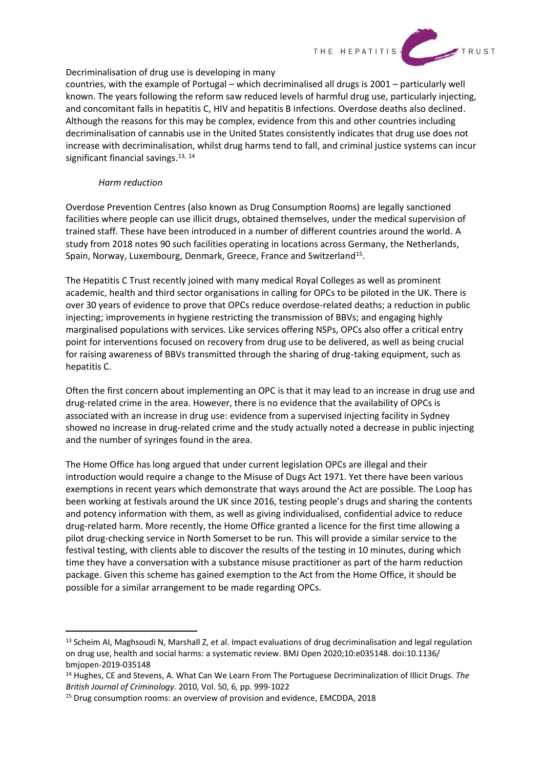

#### Decriminalisation of drug use is developing in many

countries, with the example of Portugal – which decriminalised all drugs is 2001 – particularly well known. The years following the reform saw reduced levels of harmful drug use, particularly injecting, and concomitant falls in hepatitis C, HIV and hepatitis B infections. Overdose deaths also declined. Although the reasons for this may be complex, evidence from this and other countries including decriminalisation of cannabis use in the United States consistently indicates that drug use does not increase with decriminalisation, whilst drug harms tend to fall, and criminal justice systems can incur significant financial savings. 13, 14

#### *Harm reduction*

Overdose Prevention Centres (also known as Drug Consumption Rooms) are legally sanctioned facilities where people can use illicit drugs, obtained themselves, under the medical supervision of trained staff. These have been introduced in a number of different countries around the world. A study from 2018 notes 90 such facilities operating in locations across Germany, the Netherlands, Spain, Norway, Luxembourg, Denmark, Greece, France and Switzerland<sup>15</sup>.

The Hepatitis C Trust recently joined with many medical Royal Colleges as well as prominent academic, health and third sector organisations in calling for OPCs to be piloted in the UK. There is over 30 years of evidence to prove that OPCs reduce overdose-related deaths; a reduction in public injecting; improvements in hygiene restricting the transmission of BBVs; and engaging highly marginalised populations with services. Like services offering NSPs, OPCs also offer a critical entry point for interventions focused on recovery from drug use to be delivered, as well as being crucial for raising awareness of BBVs transmitted through the sharing of drug-taking equipment, such as hepatitis C.

Often the first concern about implementing an OPC is that it may lead to an increase in drug use and drug-related crime in the area. However, there is no evidence that the availability of OPCs is associated with an increase in drug use: evidence from a supervised injecting facility in Sydney showed no increase in drug-related crime and the study actually noted a decrease in public injecting and the number of syringes found in the area.

The Home Office has long argued that under current legislation OPCs are illegal and their introduction would require a change to the Misuse of Dugs Act 1971. Yet there have been various exemptions in recent years which demonstrate that ways around the Act are possible. The Loop has been working at festivals around the UK since 2016, testing people's drugs and sharing the contents and potency information with them, as well as giving individualised, confidential advice to reduce drug-related harm. More recently, the Home Office granted a licence for the first time allowing a pilot drug-checking service in North Somerset to be run. This will provide a similar service to the festival testing, with clients able to discover the results of the testing in 10 minutes, during which time they have a conversation with a substance misuse practitioner as part of the harm reduction package. Given this scheme has gained exemption to the Act from the Home Office, it should be possible for a similar arrangement to be made regarding OPCs.

<sup>&</sup>lt;sup>13</sup> Scheim AI, Maghsoudi N, Marshall Z, et al. Impact evaluations of drug decriminalisation and legal regulation on drug use, health and social harms: a systematic review. BMJ Open 2020;10:e035148. doi:10.1136/ bmjopen-2019-035148

<sup>14</sup> Hughes, CE and Stevens, A. What Can We Learn From The Portuguese Decriminalization of Illicit Drugs. *The British Journal of Criminology.* 2010, Vol. 50, 6, pp. 999-1022

<sup>&</sup>lt;sup>15</sup> Drug consumption rooms: an overview of provision and evidence, EMCDDA, 2018